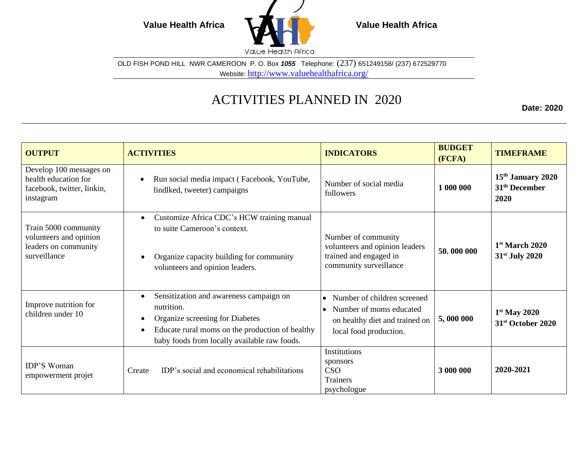

OLD FISH POND HILL NWR CAMEROON P. O. Box *1055* Telephone: (237) 651249158/ (237) 672529770 Website: <http://www.valuehealthafrica.org/>

## ACTIVITIES PLANNED IN 2020

**Date: 2020**

| <b>OUTPUT</b>                                                                              | <b>ACTIVITIES</b>                                                                                                                                                                                                  | <b>INDICATORS</b>                                                                                                                            | <b>BUDGET</b><br>(FCFA) | <b>TIMEFRAME</b>                                                   |
|--------------------------------------------------------------------------------------------|--------------------------------------------------------------------------------------------------------------------------------------------------------------------------------------------------------------------|----------------------------------------------------------------------------------------------------------------------------------------------|-------------------------|--------------------------------------------------------------------|
| Develop 100 messages on<br>health education for<br>facebook, twitter, linkin,<br>instagram | Run social media impact (Facebook, YouTube,<br>$\bullet$<br>lindlked, tweeter) campaigns                                                                                                                           | Number of social media<br>followers                                                                                                          | 1 000 000               | 15 <sup>th</sup> January 2020<br>31 <sup>th</sup> December<br>2020 |
| Train 5000 community<br>volunteers and opinion<br>leaders on community<br>surveillance     | Customize Africa CDC's HCW training manual<br>$\bullet$<br>to suite Cameroon's context.<br>Organize capacity building for community<br>$\bullet$<br>volunteers and opinion leaders.                                | Number of community<br>volunteers and opinion leaders<br>trained and engaged in<br>community surveillance                                    | 50,000 000              | 1st March 2020<br>31st July 2020                                   |
| Improve nutrition for<br>children under 10                                                 | Sensitization and awareness campaign on<br>٠<br>nutrition.<br>Organize screening for Diabetes<br>٠<br>Educate rural moms on the production of healthy<br>$\bullet$<br>baby foods from locally available raw foods. | Number of children screened<br>$\bullet$<br>Number of moms educated<br>$\bullet$<br>on healthy diet and trained on<br>local food production. | 5,000 000               | $1st$ May 2020<br>31 <sup>st</sup> October 2020                    |
| <b>IDP'S Woman</b><br>empowerment projet                                                   | IDP's social and economical rehabilitations<br>Create                                                                                                                                                              | Institutions<br>sponsors<br><b>CSO</b><br><b>Trainers</b><br>psychologue                                                                     | 3 000 000               | 2020-2021                                                          |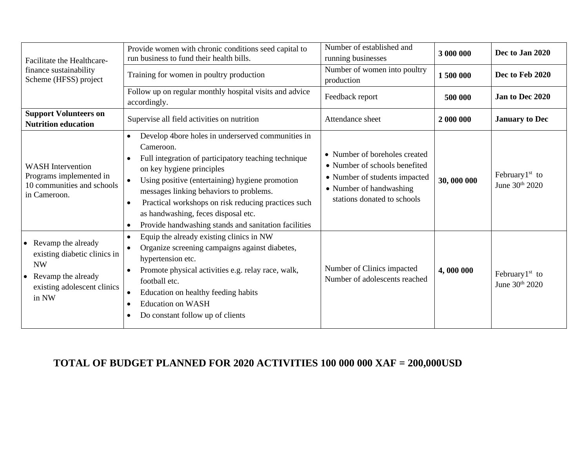| Facilitate the Healthcare-                                                                                                                 | Provide women with chronic conditions seed capital to<br>run business to fund their health bills.                                                                                                                                                                                                                                                                                                                                 | Number of established and<br>running businesses                                                                                                           | 3 000 000  | Dec to Jan 2020                              |
|--------------------------------------------------------------------------------------------------------------------------------------------|-----------------------------------------------------------------------------------------------------------------------------------------------------------------------------------------------------------------------------------------------------------------------------------------------------------------------------------------------------------------------------------------------------------------------------------|-----------------------------------------------------------------------------------------------------------------------------------------------------------|------------|----------------------------------------------|
| finance sustainability<br>Scheme (HFSS) project                                                                                            | Training for women in poultry production                                                                                                                                                                                                                                                                                                                                                                                          | Number of women into poultry<br>production                                                                                                                | 1500 000   | Dec to Feb 2020                              |
|                                                                                                                                            | Follow up on regular monthly hospital visits and advice<br>accordingly.                                                                                                                                                                                                                                                                                                                                                           | Feedback report                                                                                                                                           | 500 000    | Jan to Dec 2020                              |
| <b>Support Volunteers on</b><br><b>Nutrition education</b>                                                                                 | Supervise all field activities on nutrition                                                                                                                                                                                                                                                                                                                                                                                       | Attendance sheet                                                                                                                                          | 2 000 000  | <b>January</b> to Dec                        |
| <b>WASH</b> Intervention<br>Programs implemented in<br>10 communities and schools<br>in Cameroon.                                          | Develop 4bore holes in underserved communities in<br>$\bullet$<br>Cameroon.<br>Full integration of participatory teaching technique<br>on key hygiene principles<br>Using positive (entertaining) hygiene promotion<br>$\bullet$<br>messages linking behaviors to problems.<br>Practical workshops on risk reducing practices such<br>as handwashing, feces disposal etc.<br>Provide handwashing stands and sanitation facilities | • Number of boreholes created<br>• Number of schools benefited<br>• Number of students impacted<br>• Number of handwashing<br>stations donated to schools | 30,000 000 | February $1st$ to<br>June 30th 2020          |
| Revamp the already<br>existing diabetic clinics in<br><b>NW</b><br>Revamp the already<br>$\bullet$<br>existing adolescent clinics<br>in NW | Equip the already existing clinics in NW<br>$\bullet$<br>Organize screening campaigns against diabetes,<br>$\bullet$<br>hypertension etc.<br>Promote physical activities e.g. relay race, walk,<br>$\bullet$<br>football etc.<br>Education on healthy feeding habits<br><b>Education on WASH</b><br>Do constant follow up of clients                                                                                              | Number of Clinics impacted<br>Number of adolescents reached                                                                                               | 4,000 000  | February <sup>1st</sup> to<br>June 30th 2020 |

## **TOTAL OF BUDGET PLANNED FOR 2020 ACTIVITIES 100 000 000 XAF = 200,000USD**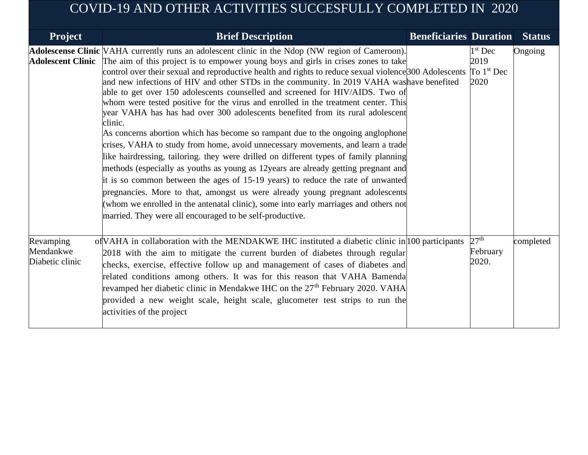## COVID-19 AND OTHER ACTIVITIES SUCCESFULLY COMPLETED IN 2020

| <b>Project</b>                            | <b>Brief Description</b>                                                                                                                                                                                                                                                                                                                                                                                                                                                                                                                                                                                                                                                                                                                                                                                                                                                                                                                                                                                                                                                                                                                                                                                                                                                                                                                                    | <b>Beneficiaries Duration</b> |                                           | <b>Status</b> |
|-------------------------------------------|-------------------------------------------------------------------------------------------------------------------------------------------------------------------------------------------------------------------------------------------------------------------------------------------------------------------------------------------------------------------------------------------------------------------------------------------------------------------------------------------------------------------------------------------------------------------------------------------------------------------------------------------------------------------------------------------------------------------------------------------------------------------------------------------------------------------------------------------------------------------------------------------------------------------------------------------------------------------------------------------------------------------------------------------------------------------------------------------------------------------------------------------------------------------------------------------------------------------------------------------------------------------------------------------------------------------------------------------------------------|-------------------------------|-------------------------------------------|---------------|
| <b>Adolescent Clinic</b>                  | Adolescense Clinic VAHA currently runs an adolescent clinic in the Ndop (NW region of Cameroon).<br>The aim of this project is to empower young boys and girls in crises zones to take<br>control over their sexual and reproductive health and rights to reduce sexual violence <sup>[300</sup> Adolescents<br>and new infections of HIV and other STDs in the community. In 2019 VAHA was have benefited<br>able to get over 150 adolescents counselled and screened for HIV/AIDS. Two of<br>whom were tested positive for the virus and enrolled in the treatment center. This<br>year VAHA has has had over 300 adolescents benefited from its rural adolescent<br>clinic.<br>As concerns abortion which has become so rampant due to the ongoing anglophone<br>crises, VAHA to study from home, avoid unnecessary movements, and learn a trade<br>like hairdressing, tailoring. they were drilled on different types of family planning<br>methods (especially as youths as young as 12 years are already getting pregnant and<br>it is so common between the ages of 15-19 years) to reduce the rate of unwanted<br>pregnancies. More to that, amongst us were already young pregnant adolescents<br>(whom we enrolled in the antenatal clinic), some into early marriages and others not<br>married. They were all encouraged to be self-productive. |                               | $1st$ Dec<br>2019<br>To $1st$ Dec<br>2020 | Ongoing       |
| Revamping<br>Mendankwe<br>Diabetic clinic | of VAHA in collaboration with the MENDAKWE IHC instituted a diabetic clinic in 100 participants<br>2018 with the aim to mitigate the current burden of diabetes through regular<br>checks, exercise, effective follow up and management of cases of diabetes and<br>related conditions among others. It was for this reason that VAHA Bamenda<br>revamped her diabetic clinic in Mendakwe IHC on the 27 <sup>th</sup> February 2020. VAHA<br>provided a new weight scale, height scale, glucometer test strips to run the<br>activities of the project                                                                                                                                                                                                                                                                                                                                                                                                                                                                                                                                                                                                                                                                                                                                                                                                      |                               | $27^{\text{th}}$<br>February<br>2020.     | completed     |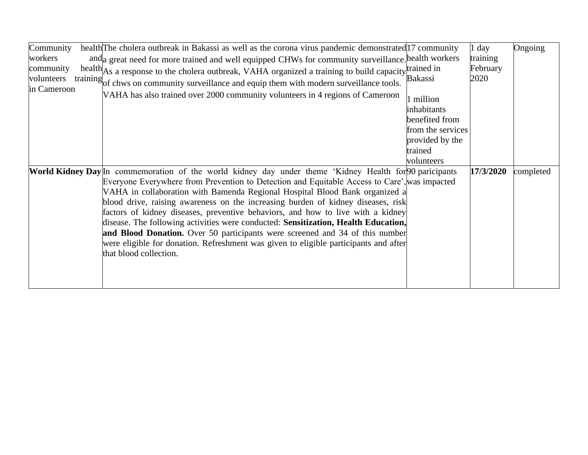| Community<br>workers<br>community | health The cholera outbreak in Bakassi as well as the corona virus pandemic demonstrated 17 community<br>and a great need for more trained and well equipped CHWs for community surveillance. health workers<br>health As a response to the cholera outbreak, VAHA organized a training to build capacity trained in                                                                                                                                                                                                                                                                                                                                                                                                                                             |                                          | l day<br>training<br>February | Ongoing   |
|-----------------------------------|------------------------------------------------------------------------------------------------------------------------------------------------------------------------------------------------------------------------------------------------------------------------------------------------------------------------------------------------------------------------------------------------------------------------------------------------------------------------------------------------------------------------------------------------------------------------------------------------------------------------------------------------------------------------------------------------------------------------------------------------------------------|------------------------------------------|-------------------------------|-----------|
| volunteers<br>in Cameroon         | training of chws on community surveillance and equip them with modern surveillance tools.<br>VAHA has also trained over 2000 community volunteers in 4 regions of Cameroon                                                                                                                                                                                                                                                                                                                                                                                                                                                                                                                                                                                       | Bakassi                                  | 2020                          |           |
|                                   |                                                                                                                                                                                                                                                                                                                                                                                                                                                                                                                                                                                                                                                                                                                                                                  | million<br>inhabitants<br>benefited from |                               |           |
|                                   |                                                                                                                                                                                                                                                                                                                                                                                                                                                                                                                                                                                                                                                                                                                                                                  | from the services<br>provided by the     |                               |           |
|                                   |                                                                                                                                                                                                                                                                                                                                                                                                                                                                                                                                                                                                                                                                                                                                                                  | trained<br>volunteers                    |                               |           |
|                                   | World Kidney Day <sup>In</sup> commemoration of the world kidney day under theme 'Kidney Health for 90 paricipants<br>Everyone Everywhere from Prevention to Detection and Equitable Access to Care', was impacted<br>VAHA in collaboration with Bamenda Regional Hospital Blood Bank organized a<br>blood drive, raising awareness on the increasing burden of kidney diseases, risk<br>factors of kidney diseases, preventive behaviors, and how to live with a kidney<br>disease. The following activities were conducted: Sensitization, Health Education,<br>and Blood Donation. Over 50 participants were screened and 34 of this number<br>were eligible for donation. Refreshment was given to eligible participants and after<br>that blood collection. |                                          | 17/3/2020                     | completed |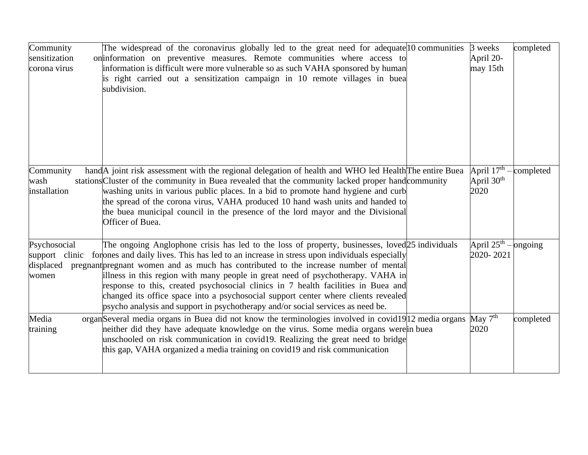| Community<br>sensitization<br>corona virus    | The widespread of the coronavirus globally led to the great need for adequate 10 communities<br>on information on preventive measures. Remote communities where access to<br>information is difficult were more vulnerable so as such VAHA sponsored by human<br>is right carried out a sensitization campaign in 10 remote villages in buea<br>subdivision.                                                                                                                                                                                                                                                                                                | 3 weeks<br>April 20-<br>may 15th       | completed |
|-----------------------------------------------|-------------------------------------------------------------------------------------------------------------------------------------------------------------------------------------------------------------------------------------------------------------------------------------------------------------------------------------------------------------------------------------------------------------------------------------------------------------------------------------------------------------------------------------------------------------------------------------------------------------------------------------------------------------|----------------------------------------|-----------|
| Community<br>wash<br>installation             | hand A joint risk assessment with the regional delegation of health and WHO led Health The entire Buea<br>stations Cluster of the community in Buea revealed that the community lacked proper hand community<br>washing units in various public places. In a bid to promote hand hygiene and curb<br>the spread of the corona virus, VAHA produced 10 hand wash units and handed to<br>the buea municipal council in the presence of the lord mayor and the Divisional<br>Officer of Buea.                                                                                                                                                                  | April $17th$ –<br>April $30th$<br>2020 | completed |
| Psychosocial<br>support<br>displaced<br>women | The ongoing Anglophone crisis has led to the loss of property, businesses, loved <sub>[25</sub> individuals]<br>clinic for ones and daily lives. This has led to an increase in stress upon individuals especially<br>pregnant pregnant women and as much has contributed to the increase number of mental<br>illness in this region with many people in great need of psychotherapy. VAHA in<br>response to this, created psychosocial clinics in 7 health facilities in Buea and<br>changed its office space into a psychosocial support center where clients revealed<br>psycho analysis and support in psychotherapy and/or social services as need be. | April $25^{\text{th}}$ –<br>2020-2021  | ongoing   |
| Media<br>training                             | organ Several media organs in Buea did not know the terminologies involved in covid19 12 media organs<br>neither did they have adequate knowledge on the virus. Some media organs were in buea<br>unschooled on risk communication in covid19. Realizing the great need to bridge<br>this gap, VAHA organized a media training on covid19 and risk communication                                                                                                                                                                                                                                                                                            | May $7th$<br>2020                      | completed |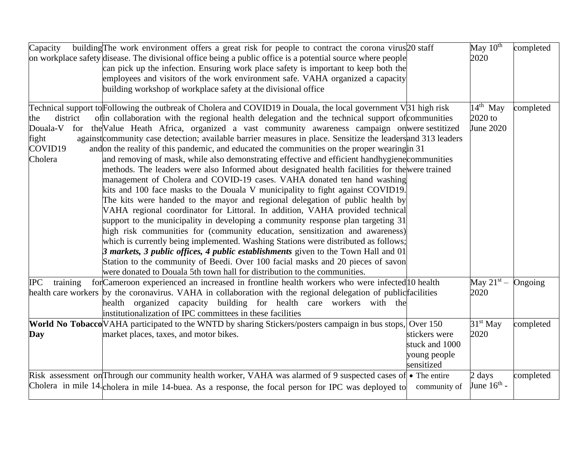| Capacity               | building The work environment offers a great risk for people to contract the corona virus 20 staff                                                                                                |                | May $10th$              | completed |
|------------------------|---------------------------------------------------------------------------------------------------------------------------------------------------------------------------------------------------|----------------|-------------------------|-----------|
|                        | on workplace safety disease. The divisional office being a public office is a potential source where people                                                                                       |                | 2020                    |           |
|                        | can pick up the infection. Ensuring work place safety is important to keep both the                                                                                                               |                |                         |           |
|                        | employees and visitors of the work environment safe. VAHA organized a capacity                                                                                                                    |                |                         |           |
|                        | building workshop of workplace safety at the divisional office                                                                                                                                    |                |                         |           |
|                        |                                                                                                                                                                                                   |                |                         |           |
|                        | Technical support to Following the outbreak of Cholera and COVID19 in Douala, the local government V31 high risk                                                                                  |                | $14th$ May              | completed |
| district<br>the        | of in collaboration with the regional health delegation and the technical support of communities                                                                                                  |                | $2020$ to               |           |
|                        | Douala-V for the Value Heath Africa, organized a vast community awareness campaign on were sestitized                                                                                             |                | June 2020               |           |
| fight                  | against community case detection; available barrier measures in place. Sensitize the leaders and 313 leaders                                                                                      |                |                         |           |
| COVID19                | and on the reality of this pandemic, and educated the communities on the proper wearing in 31                                                                                                     |                |                         |           |
| Cholera                | and removing of mask, while also demonstrating effective and efficient handhygiene communities<br>methods. The leaders were also Informed about designated health facilities for the were trained |                |                         |           |
|                        | management of Cholera and COVID-19 cases. VAHA donated ten hand washing                                                                                                                           |                |                         |           |
|                        | kits and 100 face masks to the Douala V municipality to fight against COVID19.                                                                                                                    |                |                         |           |
|                        | The kits were handed to the mayor and regional delegation of public health by                                                                                                                     |                |                         |           |
|                        | VAHA regional coordinator for Littoral. In addition, VAHA provided technical                                                                                                                      |                |                         |           |
|                        | support to the municipality in developing a community response plan targeting 31                                                                                                                  |                |                         |           |
|                        | high risk communities for (community education, sensitization and awareness)                                                                                                                      |                |                         |           |
|                        | which is currently being implemented. Washing Stations were distributed as follows;                                                                                                               |                |                         |           |
|                        | 3 markets, 3 public offices, 4 public establishments given to the Town Hall and 01                                                                                                                |                |                         |           |
|                        | Station to the community of Beedi. Over 100 facial masks and 20 pieces of savon                                                                                                                   |                |                         |           |
|                        | were donated to Douala 5th town hall for distribution to the communities.                                                                                                                         |                |                         |           |
| <b>IPC</b><br>training | for Cameroon experienced an increased in frontline health workers who were infected 10 health                                                                                                     |                | May $21^{st}$ –         | Ongoing   |
|                        | health care workers by the coronavirus. VAHA in collaboration with the regional delegation of public facilities                                                                                   |                | 2020                    |           |
|                        | health organized capacity building for health care workers with the                                                                                                                               |                |                         |           |
|                        | institutionalization of IPC committees in these facilities                                                                                                                                        |                |                         |           |
|                        | World No Tobacco VAHA participated to the WNTD by sharing Stickers/posters campaign in bus stops, Over 150                                                                                        |                | 31 <sup>st</sup> May    | completed |
| Day                    | market places, taxes, and motor bikes.                                                                                                                                                            | stickers were  | 2020                    |           |
|                        |                                                                                                                                                                                                   | stuck and 1000 |                         |           |
|                        |                                                                                                                                                                                                   | young people   |                         |           |
|                        |                                                                                                                                                                                                   | sensitized     |                         |           |
|                        | Risk assessment on Through our community health worker, VAHA was alarmed of 9 suspected cases of • The entire                                                                                     |                | 2 days                  | completed |
|                        | Cholera in mile 14. cholera in mile 14-buea. As a response, the focal person for IPC was deployed to                                                                                              | community of   | June $16^{\text{th}}$ - |           |
|                        |                                                                                                                                                                                                   |                |                         |           |